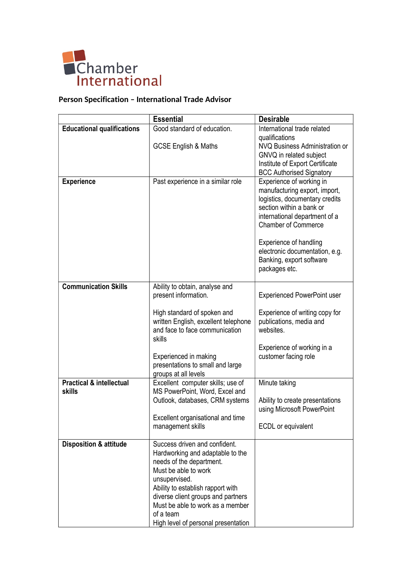

## **Person Specification – International Trade Advisor**

|                                                      | <b>Essential</b>                                                                                                                                                                                                                                                                                          | <b>Desirable</b>                                                                                                                                                                                                                                                                                       |
|------------------------------------------------------|-----------------------------------------------------------------------------------------------------------------------------------------------------------------------------------------------------------------------------------------------------------------------------------------------------------|--------------------------------------------------------------------------------------------------------------------------------------------------------------------------------------------------------------------------------------------------------------------------------------------------------|
| <b>Educational qualifications</b>                    | Good standard of education.                                                                                                                                                                                                                                                                               | International trade related                                                                                                                                                                                                                                                                            |
|                                                      | <b>GCSE English &amp; Maths</b>                                                                                                                                                                                                                                                                           | qualifications<br>NVQ Business Administration or<br>GNVQ in related subject<br>Institute of Export Certificate<br><b>BCC Authorised Signatory</b>                                                                                                                                                      |
| <b>Experience</b>                                    | Past experience in a similar role                                                                                                                                                                                                                                                                         | Experience of working in<br>manufacturing export, import,<br>logistics, documentary credits<br>section within a bank or<br>international department of a<br><b>Chamber of Commerce</b><br><b>Experience of handling</b><br>electronic documentation, e.g.<br>Banking, export software<br>packages etc. |
| <b>Communication Skills</b>                          | Ability to obtain, analyse and<br>present information.<br>High standard of spoken and<br>written English, excellent telephone<br>and face to face communication<br>skills<br>Experienced in making<br>presentations to small and large<br>groups at all levels                                            | <b>Experienced PowerPoint user</b><br>Experience of writing copy for<br>publications, media and<br>websites.<br>Experience of working in a<br>customer facing role                                                                                                                                     |
| <b>Practical &amp; intellectual</b><br><b>skills</b> | Excellent computer skills; use of<br>MS PowerPoint, Word, Excel and<br>Outlook, databases, CRM systems<br>Excellent organisational and time<br>management skills                                                                                                                                          | Minute taking<br>Ability to create presentations<br>using Microsoft PowerPoint<br>ECDL or equivalent                                                                                                                                                                                                   |
| <b>Disposition &amp; attitude</b>                    | Success driven and confident.<br>Hardworking and adaptable to the<br>needs of the department.<br>Must be able to work<br>unsupervised.<br>Ability to establish rapport with<br>diverse client groups and partners<br>Must be able to work as a member<br>of a team<br>High level of personal presentation |                                                                                                                                                                                                                                                                                                        |